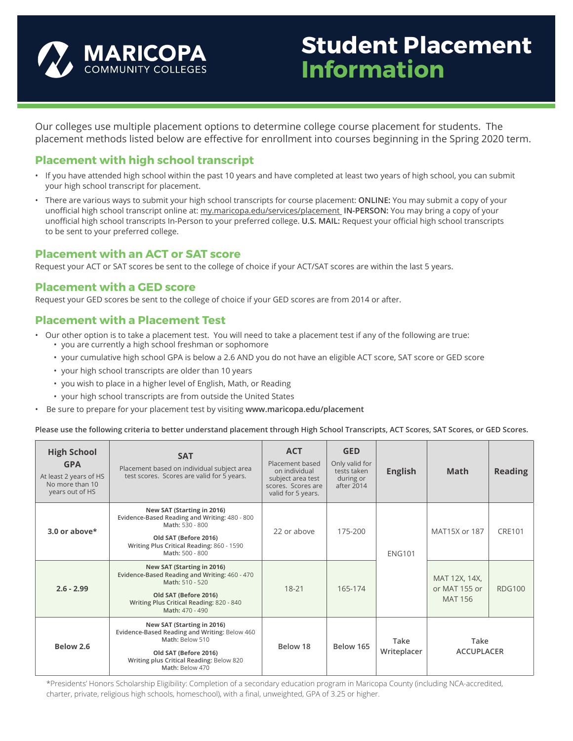

Our colleges use multiple placement options to determine college course placement for students. The placement methods listed below are effective for enrollment into courses beginning in the Spring 2020 term.

## **Placement with high school transcript**

- If you have attended high school within the past 10 years and have completed at least two years of high school, you can submit your high school transcript for placement.
- There are various ways to submit your high school transcripts for course placement: **ONLINE:** You may submit a copy of your unofficial high school transcript online at: my.maricopa.edu/services/placement **IN-PERSON:** You may bring a copy of your unofficial high school transcripts In-Person to your preferred college. **U.S. MAIL:** Request your official high school transcripts to be sent to your preferred college.

## **Placement with an ACT or SAT score**

Request your ACT or SAT scores be sent to the college of choice if your ACT/SAT scores are within the last 5 years.

## **Placement with a GED score**

Request your GED scores be sent to the college of choice if your GED scores are from 2014 or after.

## **Placement with a Placement Test**

- Our other option is to take a placement test. You will need to take a placement test if any of the following are true:
	- you are currently a high school freshman or sophomore
	- your cumulative high school GPA is below a 2.6 AND you do not have an eligible ACT score, SAT score or GED score
	- your high school transcripts are older than 10 years
	- you wish to place in a higher level of English, Math, or Reading
	- your high school transcripts are from outside the United States
- Be sure to prepare for your placement test by visiting **www.maricopa.edu/placement**

**Please use the following criteria to better understand placement through High School Transcripts, ACT Scores, SAT Scores, or GED Scores.**

| <b>High School</b><br><b>GPA</b><br>At least 2 years of HS<br>No more than 10<br>years out of HS | <b>SAT</b><br>Placement based on individual subject area<br>test scores. Scores are valid for 5 years.                                                                                  | <b>ACT</b><br>Placement based<br>on individual<br>subject area test<br>scores. Scores are<br>valid for 5 years. | <b>GED</b><br>Only valid for<br>tests taken<br>during or<br>after 2014 | <b>English</b>      | <b>Math</b>                                      | <b>Reading</b> |
|--------------------------------------------------------------------------------------------------|-----------------------------------------------------------------------------------------------------------------------------------------------------------------------------------------|-----------------------------------------------------------------------------------------------------------------|------------------------------------------------------------------------|---------------------|--------------------------------------------------|----------------|
| 3.0 or above*                                                                                    | New SAT (Starting in 2016)<br>Evidence-Based Reading and Writing: 480 - 800<br>Math: 530 - 800<br>Old SAT (Before 2016)<br>Writing Plus Critical Reading: 860 - 1590<br>Math: 500 - 800 | 22 or above                                                                                                     | 175-200                                                                | <b>ENG101</b>       | MAT15X or 187                                    | <b>CRE101</b>  |
| $2.6 - 2.99$                                                                                     | New SAT (Starting in 2016)<br>Evidence-Based Reading and Writing: 460 - 470<br>Math: 510 - 520<br>Old SAT (Before 2016)<br>Writing Plus Critical Reading: 820 - 840<br>Math: 470 - 490  | $18 - 21$                                                                                                       | 165-174                                                                |                     | MAT 12X, 14X,<br>or MAT 155 or<br><b>MAT 156</b> | <b>RDG100</b>  |
| Below 2.6                                                                                        | New SAT (Starting in 2016)<br>Evidence-Based Reading and Writing: Below 460<br>Math: Below 510<br>Old SAT (Before 2016)<br>Writing plus Critical Reading: Below 820<br>Math: Below 470  | Below 18                                                                                                        | Below 165                                                              | Take<br>Writeplacer | Take<br><b>ACCUPLACER</b>                        |                |

\*Presidents' Honors Scholarship Eligibility: Completion of a secondary education program in Maricopa County (including NCA-accredited, charter, private, religious high schools, homeschool), with a final, unweighted, GPA of 3.25 or higher.